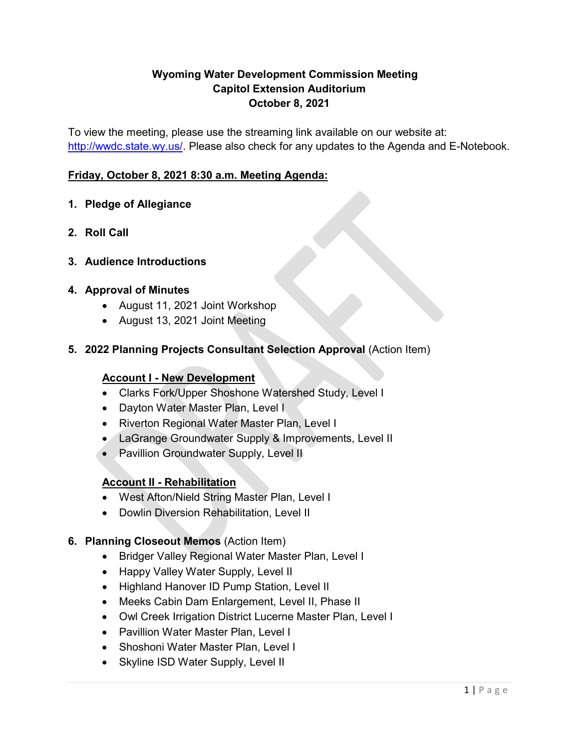# **Wyoming Water Development Commission Meeting Capitol Extension Auditorium October 8, 2021**

To view the meeting, please use the streaming link available on our website at: [http://wwdc.state.wy.us/.](http://wwdc.state.wy.us/) Please also check for any updates to the Agenda and E-Notebook.

## **Friday, October 8, 2021 8:30 a.m. Meeting Agenda:**

## **1. Pledge of Allegiance**

- **2. Roll Call**
- **3. Audience Introductions**

## **4. Approval of Minutes**

- August 11, 2021 Joint Workshop
- August 13, 2021 Joint Meeting
- **5. 2022 Planning Projects Consultant Selection Approval** (Action Item)

#### **Account I - New Development**

- Clarks Fork/Upper Shoshone Watershed Study, Level I
- Dayton Water Master Plan, Level I
- Riverton Regional Water Master Plan, Level I
- LaGrange Groundwater Supply & Improvements, Level II
- Pavillion Groundwater Supply, Level II

#### **Account II - Rehabilitation**

- West Afton/Nield String Master Plan, Level I
- Dowlin Diversion Rehabilitation, Level II

#### **6. Planning Closeout Memos** (Action Item)

- Bridger Valley Regional Water Master Plan, Level I
- Happy Valley Water Supply, Level II
- Highland Hanover ID Pump Station, Level II
- Meeks Cabin Dam Enlargement, Level II, Phase II
- Owl Creek Irrigation District Lucerne Master Plan, Level I
- Pavillion Water Master Plan, Level I
- Shoshoni Water Master Plan, Level I
- Skyline ISD Water Supply, Level II